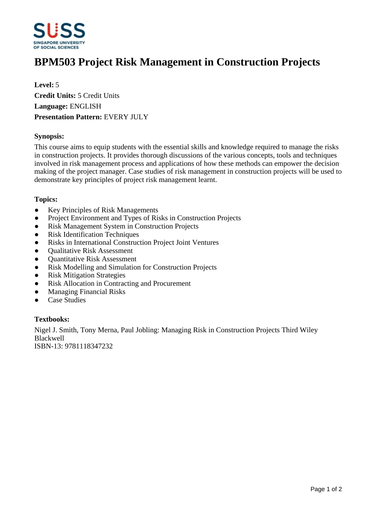

# **BPM503 Project Risk Management in Construction Projects**

**Level:** 5 **Credit Units:** 5 Credit Units **Language:** ENGLISH **Presentation Pattern:** EVERY JULY

# **Synopsis:**

This course aims to equip students with the essential skills and knowledge required to manage the risks in construction projects. It provides thorough discussions of the various concepts, tools and techniques involved in risk management process and applications of how these methods can empower the decision making of the project manager. Case studies of risk management in construction projects will be used to demonstrate key principles of project risk management learnt.

#### **Topics:**

- Key Principles of Risk Managements
- Project Environment and Types of Risks in Construction Projects
- Risk Management System in Construction Projects
- Risk Identification Techniques
- Risks in International Construction Project Joint Ventures
- ƔQualitative Risk Assessment
- Ouantitative Risk Assessment
- Risk Modelling and Simulation for Construction Projects
- Risk Mitigation Strategies
- Risk Allocation in Contracting and Procurement
- Managing Financial Risks
- ƔCase Studies

### **Textbooks:**

Nigel J. Smith, Tony Merna, Paul Jobling: Managing Risk in Construction Projects Third Wiley Blackwell

ISBN-13: 9781118347232